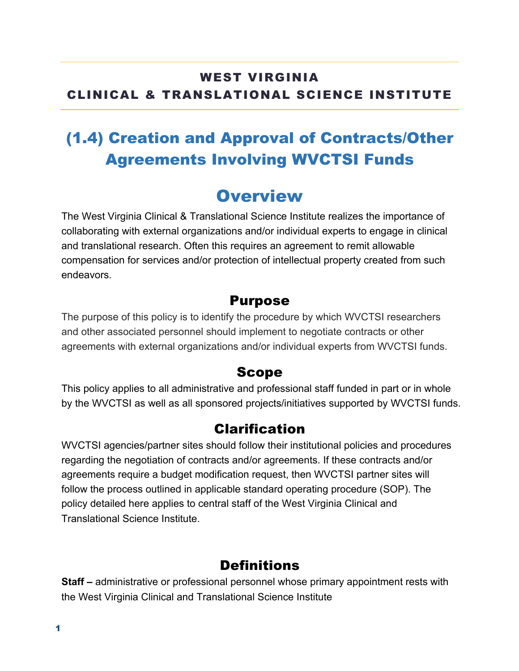#### WEST VIRGINIA CLINICAL & TRANSLATIONAL SCIENCE INSTITUTE

# (1.4) Creation and Approval of Contracts/Other Agreements Involving WVCTSI Funds

### **Overview**

The West Virginia Clinical & Translational Science Institute realizes the importance of collaborating with external organizations and/or individual experts to engage in clinical and translational research. Often this requires an agreement to remit allowable compensation for services and/or protection of intellectual property created from such endeavors.

#### Purpose

The purpose of this policy is to identify the procedure by which WVCTSI researchers and other associated personnel should implement to negotiate contracts or other agreements with external organizations and/or individual experts from WVCTSI funds.

#### Scope

This policy applies to all administrative and professional staff funded in part or in whole by the WVCTSI as well as all sponsored projects/initiatives supported by WVCTSI funds.

#### Clarification

WVCTSI agencies/partner sites should follow their institutional policies and procedures regarding the negotiation of contracts and/or agreements. If these contracts and/or agreements require a budget modification request, then WVCTSI partner sites will follow the process outlined in applicable standard operating procedure (SOP). The policy detailed here applies to central staff of the West Virginia Clinical and Translational Science Institute.

#### **Definitions**

**Staff –** administrative or professional personnel whose primary appointment rests with the West Virginia Clinical and Translational Science Institute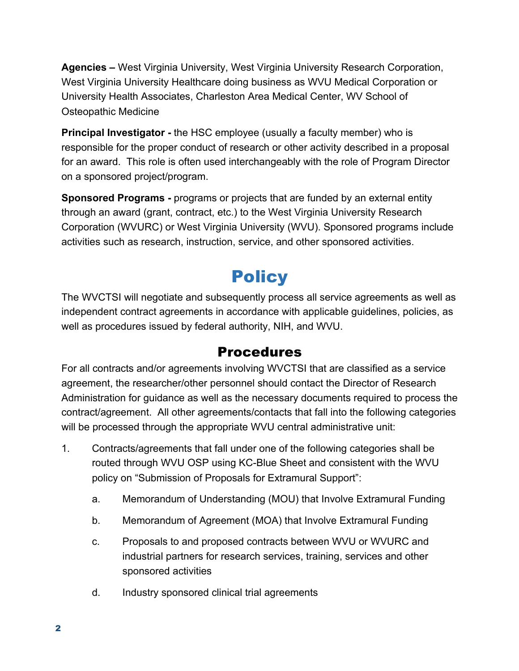**Agencies –** West Virginia University, West Virginia University Research Corporation, West Virginia University Healthcare doing business as WVU Medical Corporation or University Health Associates, Charleston Area Medical Center, WV School of Osteopathic Medicine

**Principal Investigator -** the HSC employee (usually a faculty member) who is responsible for the proper conduct of research or other activity described in a proposal for an award. This role is often used interchangeably with the role of Program Director on a sponsored project/program.

**Sponsored Programs -** programs or projects that are funded by an external entity through an award (grant, contract, etc.) to the West Virginia University Research Corporation (WVURC) or West Virginia University (WVU). Sponsored programs include activities such as research, instruction, service, and other sponsored activities.

# **Policy**

The WVCTSI will negotiate and subsequently process all service agreements as well as independent contract agreements in accordance with applicable guidelines, policies, as well as procedures issued by federal authority, NIH, and WVU.

### Procedures

For all contracts and/or agreements involving WVCTSI that are classified as a service agreement, the researcher/other personnel should contact the Director of Research Administration for guidance as well as the necessary documents required to process the contract/agreement. All other agreements/contacts that fall into the following categories will be processed through the appropriate WVU central administrative unit:

- 1. Contracts/agreements that fall under one of the following categories shall be routed through WVU OSP using KC-Blue Sheet and consistent with the WVU policy on "Submission of Proposals for Extramural Support":
	- a. Memorandum of Understanding (MOU) that Involve Extramural Funding
	- b. Memorandum of Agreement (MOA) that Involve Extramural Funding
	- c. Proposals to and proposed contracts between WVU or WVURC and industrial partners for research services, training, services and other sponsored activities
	- d. Industry sponsored clinical trial agreements